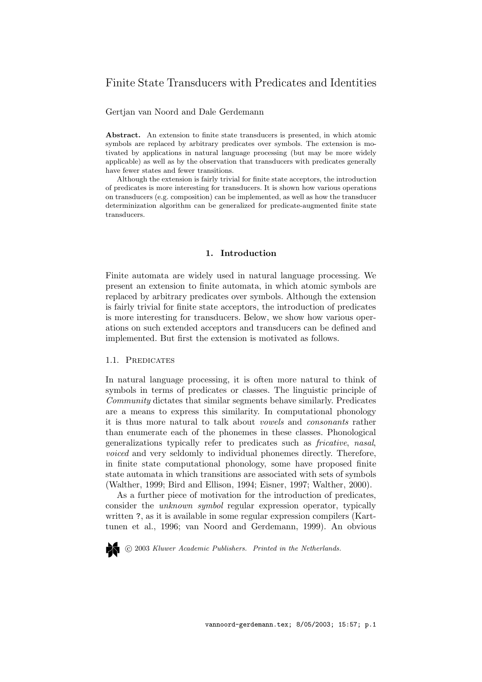# Finite State Transducers with Predicates and Identities

Gertjan van Noord and Dale Gerdemann

Abstract. An extension to finite state transducers is presented, in which atomic symbols are replaced by arbitrary predicates over symbols. The extension is motivated by applications in natural language processing (but may be more widely applicable) as well as by the observation that transducers with predicates generally have fewer states and fewer transitions.

Although the extension is fairly trivial for finite state acceptors, the introduction of predicates is more interesting for transducers. It is shown how various operations on transducers (e.g. composition) can be implemented, as well as how the transducer determinization algorithm can be generalized for predicate-augmented finite state transducers.

## 1. Introduction

Finite automata are widely used in natural language processing. We present an extension to finite automata, in which atomic symbols are replaced by arbitrary predicates over symbols. Although the extension is fairly trivial for finite state acceptors, the introduction of predicates is more interesting for transducers. Below, we show how various operations on such extended acceptors and transducers can be defined and implemented. But first the extension is motivated as follows.

## 1.1. Predicates

In natural language processing, it is often more natural to think of symbols in terms of predicates or classes. The linguistic principle of Community dictates that similar segments behave similarly. Predicates are a means to express this similarity. In computational phonology it is thus more natural to talk about vowels and consonants rather than enumerate each of the phonemes in these classes. Phonological generalizations typically refer to predicates such as fricative, nasal, voiced and very seldomly to individual phonemes directly. Therefore, in finite state computational phonology, some have proposed finite state automata in which transitions are associated with sets of symbols (Walther, 1999; Bird and Ellison, 1994; Eisner, 1997; Walther, 2000).

As a further piece of motivation for the introduction of predicates, consider the unknown symbol regular expression operator, typically written ?, as it is available in some regular expression compilers (Karttunen et al., 1996; van Noord and Gerdemann, 1999). An obvious

c 2003 Kluwer Academic Publishers. Printed in the Netherlands.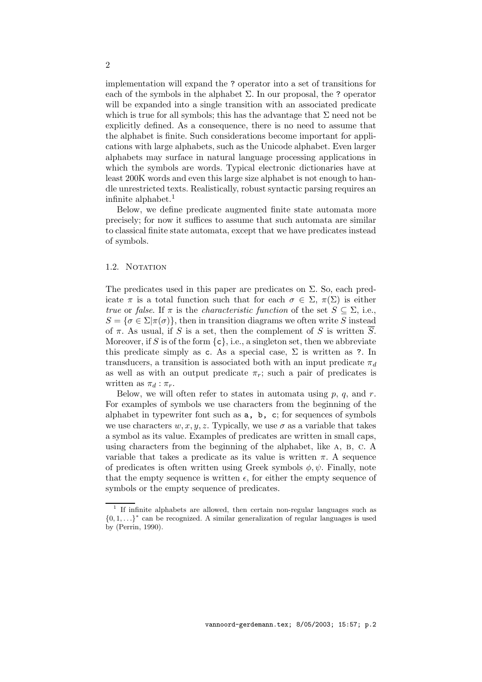implementation will expand the ? operator into a set of transitions for each of the symbols in the alphabet  $\Sigma$ . In our proposal, the ? operator will be expanded into a single transition with an associated predicate which is true for all symbols; this has the advantage that  $\Sigma$  need not be explicitly defined. As a consequence, there is no need to assume that the alphabet is finite. Such considerations become important for applications with large alphabets, such as the Unicode alphabet. Even larger alphabets may surface in natural language processing applications in which the symbols are words. Typical electronic dictionaries have at least 200K words and even this large size alphabet is not enough to handle unrestricted texts. Realistically, robust syntactic parsing requires an infinite alphabet.<sup>1</sup>

Below, we define predicate augmented finite state automata more precisely; for now it suffices to assume that such automata are similar to classical finite state automata, except that we have predicates instead of symbols.

## 1.2. NOTATION

The predicates used in this paper are predicates on  $\Sigma$ . So, each predicate  $\pi$  is a total function such that for each  $\sigma \in \Sigma$ ,  $\pi(\Sigma)$  is either true or false. If  $\pi$  is the *characteristic function* of the set  $S \subseteq \Sigma$ , i.e.,  $S = \{ \sigma \in \Sigma | \pi(\sigma) \},\$  then in transition diagrams we often write S instead of  $\pi$ . As usual, if S is a set, then the complement of S is written  $\overline{S}$ . Moreover, if S is of the form  $\{c\}$ , i.e., a singleton set, then we abbreviate this predicate simply as c. As a special case,  $\Sigma$  is written as ?. In transducers, a transition is associated both with an input predicate  $\pi_d$ as well as with an output predicate  $\pi_r$ ; such a pair of predicates is written as  $\pi_d : \pi_r$ .

Below, we will often refer to states in automata using  $p, q$ , and  $r$ . For examples of symbols we use characters from the beginning of the alphabet in typewriter font such as a, b, c; for sequences of symbols we use characters  $w, x, y, z$ . Typically, we use  $\sigma$  as a variable that takes a symbol as its value. Examples of predicates are written in small caps, using characters from the beginning of the alphabet, like a, b, c. A variable that takes a predicate as its value is written  $\pi$ . A sequence of predicates is often written using Greek symbols  $\phi, \psi$ . Finally, note that the empty sequence is written  $\epsilon$ , for either the empty sequence of symbols or the empty sequence of predicates.

<sup>&</sup>lt;sup>1</sup> If infinite alphabets are allowed, then certain non-regular languages such as  ${0, 1, \ldots}^*$  can be recognized. A similar generalization of regular languages is used by (Perrin, 1990).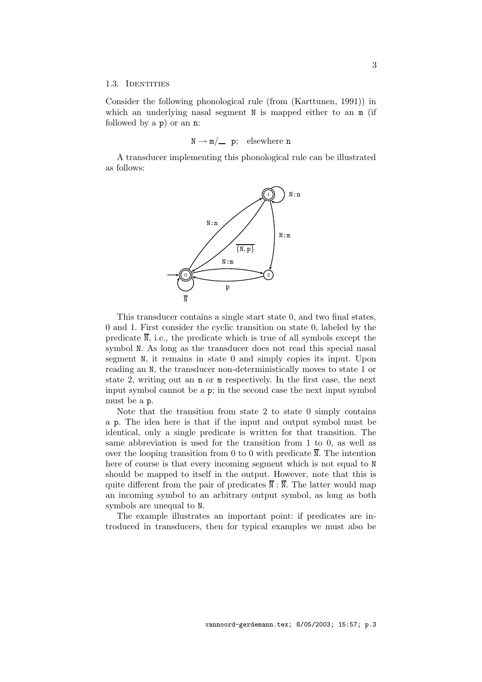### 1.3. IDENTITIES

Consider the following phonological rule (from (Karttunen, 1991)) in which an underlying nasal segment N is mapped either to an  $m$  (if followed by a p) or an n:

 $N \rightarrow m / \underline{\hspace{0.2cm}} p$ ; elsewhere n

A transducer implementing this phonological rule can be illustrated as follows:



This transducer contains a single start state 0, and two final states, 0 and 1. First consider the cyclic transition on state 0, labeled by the predicate  $\overline{N}$ , i.e., the predicate which is true of all symbols except the symbol N. As long as the transducer does not read this special nasal segment N, it remains in state 0 and simply copies its input. Upon reading an N, the transducer non-deterministically moves to state 1 or state 2, writing out an n or m respectively. In the first case, the next input symbol cannot be a p; in the second case the next input symbol must be a p.

Note that the transition from state 2 to state 0 simply contains a p. The idea here is that if the input and output symbol must be identical, only a single predicate is written for that transition. The same abbreviation is used for the transition from 1 to 0, as well as over the looping transition from 0 to 0 with predicate  $\overline{N}$ . The intention here of course is that every incoming segment which is not equal to N should be mapped to itself in the output. However, note that this is quite different from the pair of predicates  $\overline{\mathbb{N}}$  :  $\overline{\mathbb{N}}$ . The latter would map an incoming symbol to an arbitrary output symbol, as long as both symbols are unequal to N.

The example illustrates an important point: if predicates are introduced in transducers, then for typical examples we must also be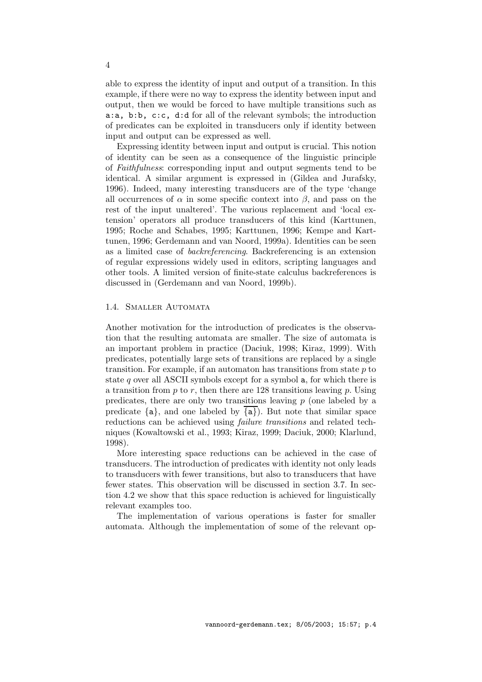able to express the identity of input and output of a transition. In this example, if there were no way to express the identity between input and output, then we would be forced to have multiple transitions such as a:a, b:b, c:c, d:d for all of the relevant symbols; the introduction of predicates can be exploited in transducers only if identity between input and output can be expressed as well.

Expressing identity between input and output is crucial. This notion of identity can be seen as a consequence of the linguistic principle of Faithfulness: corresponding input and output segments tend to be identical. A similar argument is expressed in (Gildea and Jurafsky, 1996). Indeed, many interesting transducers are of the type 'change all occurrences of  $\alpha$  in some specific context into  $\beta$ , and pass on the rest of the input unaltered'. The various replacement and 'local extension' operators all produce transducers of this kind (Karttunen, 1995; Roche and Schabes, 1995; Karttunen, 1996; Kempe and Karttunen, 1996; Gerdemann and van Noord, 1999a). Identities can be seen as a limited case of backreferencing. Backreferencing is an extension of regular expressions widely used in editors, scripting languages and other tools. A limited version of finite-state calculus backreferences is discussed in (Gerdemann and van Noord, 1999b).

## 1.4. Smaller Automata

Another motivation for the introduction of predicates is the observation that the resulting automata are smaller. The size of automata is an important problem in practice (Daciuk, 1998; Kiraz, 1999). With predicates, potentially large sets of transitions are replaced by a single transition. For example, if an automator has transitions from state  $p$  to state q over all ASCII symbols except for a symbol  $a$ , for which there is a transition from  $p$  to  $r$ , then there are 128 transitions leaving  $p$ . Using predicates, there are only two transitions leaving  $p$  (one labeled by a predicate  $\{a\}$ , and one labeled by  $\{a\}$ ). But note that similar space reductions can be achieved using failure transitions and related techniques (Kowaltowski et al., 1993; Kiraz, 1999; Daciuk, 2000; Klarlund, 1998).

More interesting space reductions can be achieved in the case of transducers. The introduction of predicates with identity not only leads to transducers with fewer transitions, but also to transducers that have fewer states. This observation will be discussed in section 3.7. In section 4.2 we show that this space reduction is achieved for linguistically relevant examples too.

The implementation of various operations is faster for smaller automata. Although the implementation of some of the relevant op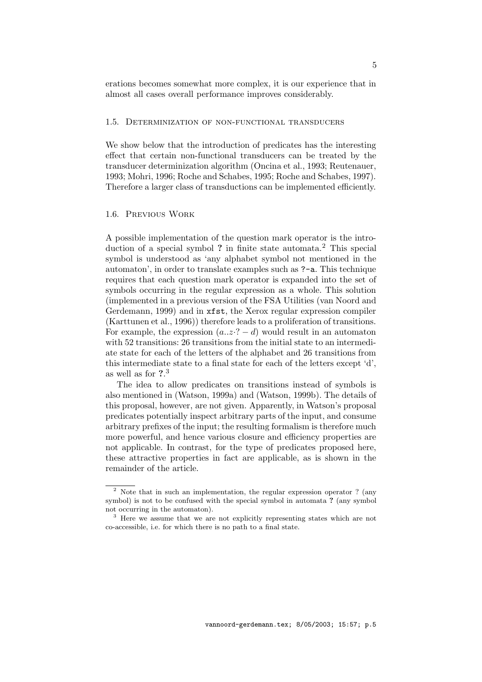erations becomes somewhat more complex, it is our experience that in almost all cases overall performance improves considerably.

### 1.5. Determinization of non-functional transducers

We show below that the introduction of predicates has the interesting effect that certain non-functional transducers can be treated by the transducer determinization algorithm (Oncina et al., 1993; Reutenauer, 1993; Mohri, 1996; Roche and Schabes, 1995; Roche and Schabes, 1997). Therefore a larger class of transductions can be implemented efficiently.

## 1.6. Previous Work

A possible implementation of the question mark operator is the introduction of a special symbol ? in finite state automata.<sup>2</sup> This special symbol is understood as 'any alphabet symbol not mentioned in the automaton', in order to translate examples such as ?-a. This technique requires that each question mark operator is expanded into the set of symbols occurring in the regular expression as a whole. This solution (implemented in a previous version of the FSA Utilities (van Noord and Gerdemann, 1999) and in xfst, the Xerox regular expression compiler (Karttunen et al., 1996)) therefore leads to a proliferation of transitions. For example, the expression  $(a..z \cdot ? - d)$  would result in an automaton with 52 transitions: 26 transitions from the initial state to an intermediate state for each of the letters of the alphabet and 26 transitions from this intermediate state to a final state for each of the letters except 'd', as well as for  $2.3$ 

The idea to allow predicates on transitions instead of symbols is also mentioned in (Watson, 1999a) and (Watson, 1999b). The details of this proposal, however, are not given. Apparently, in Watson's proposal predicates potentially inspect arbitrary parts of the input, and consume arbitrary prefixes of the input; the resulting formalism is therefore much more powerful, and hence various closure and efficiency properties are not applicable. In contrast, for the type of predicates proposed here, these attractive properties in fact are applicable, as is shown in the remainder of the article.

<sup>2</sup> Note that in such an implementation, the regular expression operator ? (any symbol) is not to be confused with the special symbol in automata ? (any symbol not occurring in the automaton).

<sup>3</sup> Here we assume that we are not explicitly representing states which are not co-accessible, i.e. for which there is no path to a final state.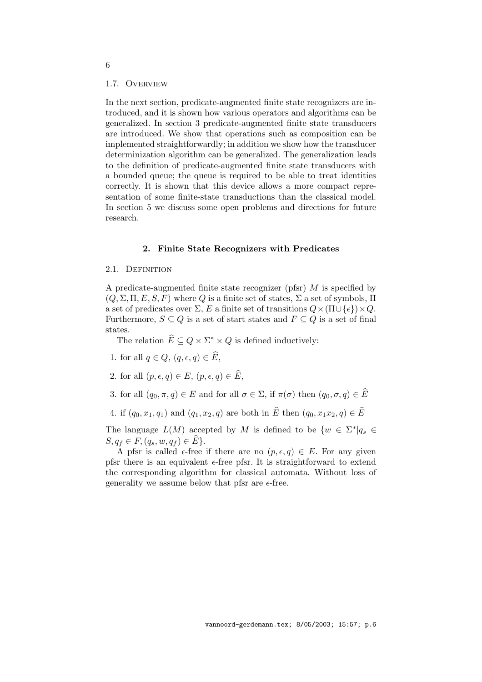#### 1.7. Overview

In the next section, predicate-augmented finite state recognizers are introduced, and it is shown how various operators and algorithms can be generalized. In section 3 predicate-augmented finite state transducers are introduced. We show that operations such as composition can be implemented straightforwardly; in addition we show how the transducer determinization algorithm can be generalized. The generalization leads to the definition of predicate-augmented finite state transducers with a bounded queue; the queue is required to be able to treat identities correctly. It is shown that this device allows a more compact representation of some finite-state transductions than the classical model. In section 5 we discuss some open problems and directions for future research.

#### 2. Finite State Recognizers with Predicates

### 2.1. DEFINITION

A predicate-augmented finite state recognizer (pfsr) M is specified by  $(Q, \Sigma, \Pi, E, S, F)$  where Q is a finite set of states,  $\Sigma$  a set of symbols,  $\Pi$ a set of predicates over  $\Sigma$ , E a finite set of transitions  $Q \times (\Pi \cup \{\epsilon\}) \times Q$ . Furthermore,  $S \subseteq Q$  is a set of start states and  $F \subseteq Q$  is a set of final states.

The relation  $\widehat{E} \subseteq Q \times \Sigma^* \times Q$  is defined inductively:

- 1. for all  $q \in Q$ ,  $(q, \epsilon, q) \in \widehat{E}$ ,
- 2. for all  $(p, \epsilon, q) \in E$ ,  $(p, \epsilon, q) \in \widehat{E}$ ,
- 3. for all  $(q_0, \pi, q) \in E$  and for all  $\sigma \in \Sigma$ , if  $\pi(\sigma)$  then  $(q_0, \sigma, q) \in \widehat{E}$
- 4. if  $(q_0, x_1, q_1)$  and  $(q_1, x_2, q)$  are both in  $\widehat{E}$  then  $(q_0, x_1x_2, q) \in \widehat{E}$

The language  $L(M)$  accepted by M is defined to be  $\{w \in \Sigma^* | q_s \in$  $S, q_f \in F, (q_s, w, q_f) \in \widehat{E} \}.$ 

A pfsr is called  $\epsilon$ -free if there are no  $(p, \epsilon, q) \in E$ . For any given pfsr there is an equivalent  $\epsilon$ -free pfsr. It is straightforward to extend the corresponding algorithm for classical automata. Without loss of generality we assume below that pfsr are  $\epsilon$ -free.

6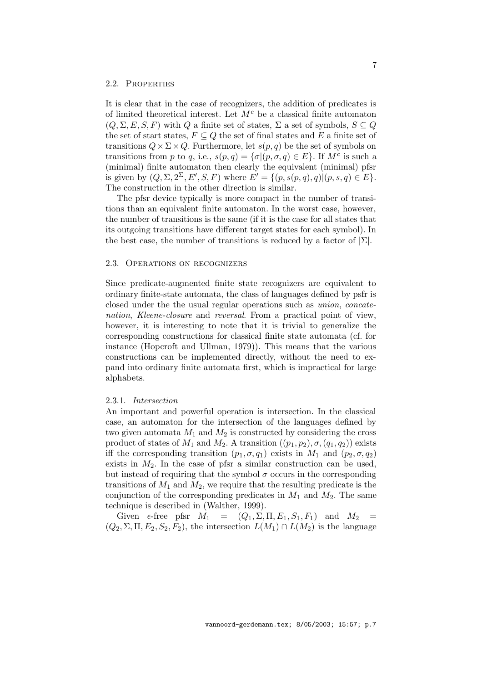### 2.2. Properties

It is clear that in the case of recognizers, the addition of predicates is of limited theoretical interest. Let  $M<sup>c</sup>$  be a classical finite automaton  $(Q, \Sigma, E, S, F)$  with Q a finite set of states,  $\Sigma$  a set of symbols,  $S \subseteq Q$ the set of start states,  $F \subseteq Q$  the set of final states and E a finite set of transitions  $Q \times \Sigma \times Q$ . Furthermore, let  $s(p,q)$  be the set of symbols on transitions from p to q, i.e.,  $s(p,q) = \{\sigma | (p,\sigma,q) \in E\}$ . If  $M^c$  is such a (minimal) finite automaton then clearly the equivalent (minimal) pfsr is given by  $(Q, \Sigma, 2^{\Sigma}, E', S, F)$  where  $E' = \{(p, s(p,q), q) | (p, s, q) \in E\}.$ The construction in the other direction is similar.

The pfsr device typically is more compact in the number of transitions than an equivalent finite automaton. In the worst case, however, the number of transitions is the same (if it is the case for all states that its outgoing transitions have different target states for each symbol). In the best case, the number of transitions is reduced by a factor of  $|\Sigma|$ .

#### 2.3. Operations on recognizers

Since predicate-augmented finite state recognizers are equivalent to ordinary finite-state automata, the class of languages defined by psfr is closed under the the usual regular operations such as union, concatenation, Kleene-closure and reversal. From a practical point of view, however, it is interesting to note that it is trivial to generalize the corresponding constructions for classical finite state automata (cf. for instance (Hopcroft and Ullman, 1979)). This means that the various constructions can be implemented directly, without the need to expand into ordinary finite automata first, which is impractical for large alphabets.

#### 2.3.1. Intersection

An important and powerful operation is intersection. In the classical case, an automaton for the intersection of the languages defined by two given automata  $M_1$  and  $M_2$  is constructed by considering the cross product of states of  $M_1$  and  $M_2$ . A transition  $((p_1, p_2), \sigma, (q_1, q_2))$  exists iff the corresponding transition  $(p_1, \sigma, q_1)$  exists in  $M_1$  and  $(p_2, \sigma, q_2)$ exists in  $M_2$ . In the case of pfsr a similar construction can be used, but instead of requiring that the symbol  $\sigma$  occurs in the corresponding transitions of  $M_1$  and  $M_2$ , we require that the resulting predicate is the conjunction of the corresponding predicates in  $M_1$  and  $M_2$ . The same technique is described in (Walther, 1999).

Given  $\epsilon$ -free pfsr  $M_1 = (Q_1, \Sigma, \Pi, E_1, S_1, F_1)$  and  $M_2 =$  $(Q_2, \Sigma, \Pi, E_2, S_2, F_2)$ , the intersection  $L(M_1) \cap L(M_2)$  is the language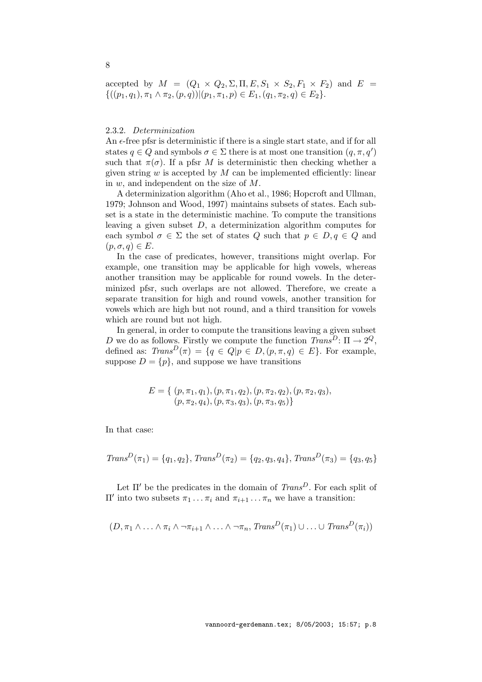accepted by  $M = (Q_1 \times Q_2, \Sigma, \Pi, E, S_1 \times S_2, F_1 \times F_2)$  and  $E =$  $\{((p_1, q_1), \pi_1 \wedge \pi_2, (p, q)) | (p_1, \pi_1, p) \in E_1, (q_1, \pi_2, q) \in E_2\}.$ 

## 2.3.2. Determinization

An  $\epsilon$ -free pfsr is deterministic if there is a single start state, and if for all states  $q \in Q$  and symbols  $\sigma \in \Sigma$  there is at most one transition  $(q, \pi, q')$ such that  $\pi(\sigma)$ . If a pfsr M is deterministic then checking whether a given string  $w$  is accepted by  $M$  can be implemented efficiently: linear in w, and independent on the size of M.

A determinization algorithm (Aho et al., 1986; Hopcroft and Ullman, 1979; Johnson and Wood, 1997) maintains subsets of states. Each subset is a state in the deterministic machine. To compute the transitions leaving a given subset D, a determinization algorithm computes for each symbol  $\sigma \in \Sigma$  the set of states Q such that  $p \in D, q \in Q$  and  $(p, \sigma, q) \in E$ .

In the case of predicates, however, transitions might overlap. For example, one transition may be applicable for high vowels, whereas another transition may be applicable for round vowels. In the determinized pfsr, such overlaps are not allowed. Therefore, we create a separate transition for high and round vowels, another transition for vowels which are high but not round, and a third transition for vowels which are round but not high.

In general, in order to compute the transitions leaving a given subset D we do as follows. Firstly we compute the function  $Trans^D: \Pi \rightarrow 2^Q$ , defined as:  $Trans^D(\pi) = \{q \in Q | p \in D, (p, \pi, q) \in E \}$ . For example, suppose  $D = \{p\}$ , and suppose we have transitions

$$
E = \{ (p, \pi_1, q_1), (p, \pi_1, q_2), (p, \pi_2, q_2), (p, \pi_2, q_3), (p, \pi_2, q_4), (p, \pi_3, q_3), (p, \pi_3, q_5) \}
$$

In that case:

$$
TransD(\pi_1) = \{q_1, q_2\}, TransD(\pi_2) = \{q_2, q_3, q_4\}, TransD(\pi_3) = \{q_3, q_5\}
$$

Let  $\Pi'$  be the predicates in the domain of  $Trans^D$ . For each split of  $\Pi'$  into two subsets  $\pi_1 \dots \pi_i$  and  $\pi_{i+1} \dots \pi_n$  we have a transition:

$$
(D, \pi_1 \wedge \ldots \wedge \pi_i \wedge \neg \pi_{i+1} \wedge \ldots \wedge \neg \pi_n, Trans^D(\pi_1) \cup \ldots \cup Trans^D(\pi_i))
$$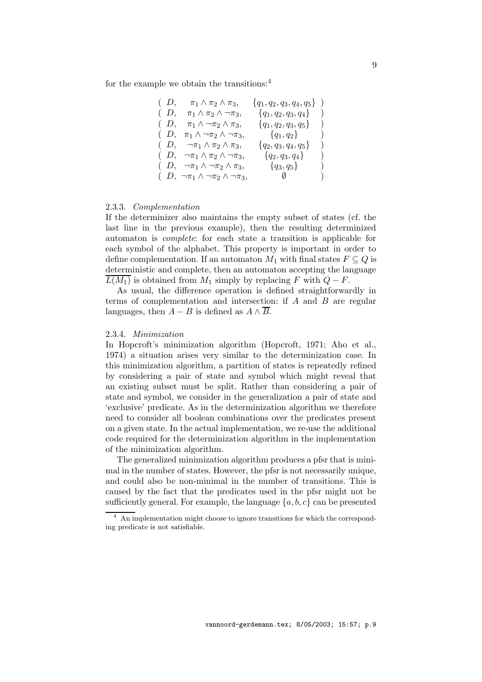for the example we obtain the transitions:<sup>4</sup>

| $(D, \pi_1 \wedge \pi_2 \wedge \pi_3)$                | $\{q_1, q_2, q_3, q_4, q_5\}$ ) |                  |
|-------------------------------------------------------|---------------------------------|------------------|
| $(D, \pi_1 \wedge \pi_2 \wedge \neg \pi_3)$           | $\{q_1, q_2, q_3, q_4\}$        |                  |
| $(D, \pi_1 \wedge \neg \pi_2 \wedge \pi_3)$           | $\{q_1, q_2, q_3, q_5\}$ )      |                  |
| $(D, \pi_1 \wedge \neg \pi_2 \wedge \neg \pi_3)$      | ${q_1, q_2}$                    | $\left( \right)$ |
| $(D, \neg \pi_1 \wedge \pi_2 \wedge \pi_3)$           | $\{q_2, q_3, q_4, q_5\}$        |                  |
| $(D, \neg \pi_1 \wedge \pi_2 \wedge \neg \pi_3)$      | $\{q_2, q_3, q_4\}$             | $\mathcal{E}$    |
| $(D, \neg \pi_1 \wedge \neg \pi_2 \wedge \pi_3)$      | ${q_3, q_5}$                    | $\left( \right)$ |
| $(D, \neg \pi_1 \wedge \neg \pi_2 \wedge \neg \pi_3)$ | $\emptyset$                     | $\lambda$        |

#### 2.3.3. Complementation

If the determinizer also maintains the empty subset of states (cf. the last line in the previous example), then the resulting determinized automaton is complete: for each state a transition is applicable for each symbol of the alphabet. This property is important in order to define complementation. If an automaton  $M_1$  with final states  $F \subseteq Q$  is deterministic and complete, then an automaton accepting the language  $\overline{L(M_1)}$  is obtained from  $M_1$  simply by replacing F with  $Q-F$ .

As usual, the difference operation is defined straightforwardly in terms of complementation and intersection: if  $A$  and  $B$  are regular languages, then  $A - B$  is defined as  $A \wedge \overline{B}$ .

### 2.3.4. Minimization

In Hopcroft's minimization algorithm (Hopcroft, 1971; Aho et al., 1974) a situation arises very similar to the determinization case. In this minimization algorithm, a partition of states is repeatedly refined by considering a pair of state and symbol which might reveal that an existing subset must be split. Rather than considering a pair of state and symbol, we consider in the generalization a pair of state and 'exclusive' predicate. As in the determinization algorithm we therefore need to consider all boolean combinations over the predicates present on a given state. In the actual implementation, we re-use the additional code required for the determinization algorithm in the implementation of the minimization algorithm.

The generalized minimization algorithm produces a pfsr that is minimal in the number of states. However, the pfsr is not necessarily unique, and could also be non-minimal in the number of transitions. This is caused by the fact that the predicates used in the pfsr might not be sufficiently general. For example, the language  $\{a, b, c\}$  can be presented

<sup>&</sup>lt;sup>4</sup> An implementation might choose to ignore transitions for which the corresponding predicate is not satisfiable.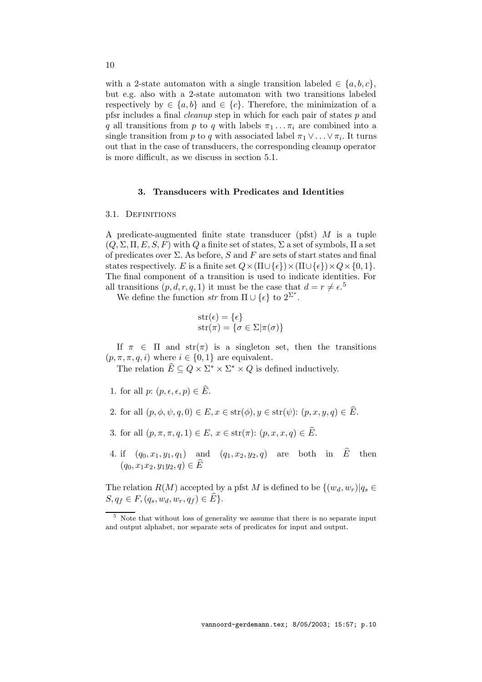with a 2-state automaton with a single transition labeled  $\in \{a, b, c\},\$ but e.g. also with a 2-state automaton with two transitions labeled respectively by  $\in \{a, b\}$  and  $\in \{c\}$ . Therefore, the minimization of a pfsr includes a final cleanup step in which for each pair of states p and q all transitions from p to q with labels  $\pi_1 \dots \pi_i$  are combined into a single transition from p to q with associated label  $\pi_1 \vee \ldots \vee \pi_i$ . It turns out that in the case of transducers, the corresponding cleanup operator is more difficult, as we discuss in section 5.1.

### 3. Transducers with Predicates and Identities

#### 3.1. Definitions

A predicate-augmented finite state transducer (pfst)  $M$  is a tuple  $(Q, \Sigma, \Pi, E, S, F)$  with Q a finite set of states,  $\Sigma$  a set of symbols,  $\Pi$  a set of predicates over  $\Sigma$ . As before, S and F are sets of start states and final states respectively. E is a finite set  $Q \times (\Pi \cup \{\epsilon\}) \times (\Pi \cup \{\epsilon\}) \times Q \times \{0, 1\}.$ The final component of a transition is used to indicate identities. For all transitions  $(p, d, r, q, 1)$  it must be the case that  $d = r \neq \epsilon$ <sup>5</sup>.

We define the function str from  $\Pi \cup {\epsilon}$  to  $2^{\Sigma^*}$ .

$$
str(\epsilon) = {\epsilon}
$$
  

$$
str(\pi) = {\sigma \in \Sigma | \pi(\sigma) }
$$

If  $\pi \in \Pi$  and  $str(\pi)$  is a singleton set, then the transitions  $(p, \pi, \pi, q, i)$  where  $i \in \{0, 1\}$  are equivalent.

The relation  $\widehat{E} \subseteq Q \times \Sigma^* \times \Sigma^* \times Q$  is defined inductively.

- 1. for all p:  $(p, \epsilon, \epsilon, p) \in \widehat{E}$ .
- 2. for all  $(p, \phi, \psi, q, 0) \in E$ ,  $x \in \text{str}(\phi)$ ,  $y \in \text{str}(\psi)$ :  $(p, x, y, q) \in \widehat{E}$ .
- 3. for all  $(p, \pi, \pi, q, 1) \in E$ ,  $x \in \text{str}(\pi)$ :  $(p, x, x, q) \in \widehat{E}$ .
- 4. if  $(q_0, x_1, y_1, q_1)$  and  $(q_1, x_2, y_2, q)$  are both in  $\widehat{E}$  then  $(q_0, x_1x_2, y_1y_2, q) \in \widehat{E}$

The relation  $R(M)$  accepted by a pfst M is defined to be  $\{(w_d, w_r)|q_s \in$  $S, q_f \in F, (q_s, w_d, w_r, q_f) \in \widehat{E}$ .

<sup>5</sup> Note that without loss of generality we assume that there is no separate input and output alphabet, nor separate sets of predicates for input and output.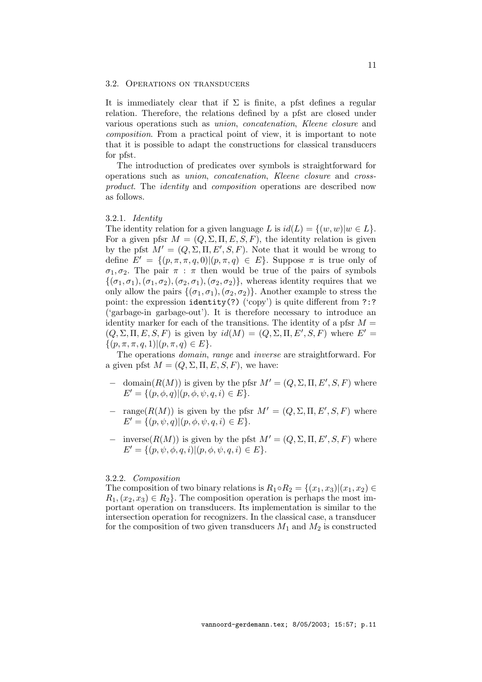### 3.2. Operations on transducers

It is immediately clear that if  $\Sigma$  is finite, a pfst defines a regular relation. Therefore, the relations defined by a pfst are closed under various operations such as union, concatenation, Kleene closure and composition. From a practical point of view, it is important to note that it is possible to adapt the constructions for classical transducers for pfst.

The introduction of predicates over symbols is straightforward for operations such as union, concatenation, Kleene closure and crossproduct. The identity and composition operations are described now as follows.

## 3.2.1. Identity

The identity relation for a given language L is  $id(L) = \{(w, w)|w \in L\}.$ For a given pfsr  $M = (Q, \Sigma, \Pi, E, S, F)$ , the identity relation is given by the pfst  $M' = (Q, \Sigma, \Pi, E', S, F)$ . Note that it would be wrong to define  $E' = \{(p, \pi, \pi, q, 0) | (p, \pi, q) \in E\}$ . Suppose  $\pi$  is true only of  $\sigma_1, \sigma_2$ . The pair  $\pi$ :  $\pi$  then would be true of the pairs of symbols  $\{(\sigma_1,\sigma_1),(\sigma_1,\sigma_2),(\sigma_2,\sigma_1),(\sigma_2,\sigma_2)\}\,$ , whereas identity requires that we only allow the pairs  $\{(\sigma_1, \sigma_1),(\sigma_2, \sigma_2)\}\$ . Another example to stress the point: the expression identity(?) ('copy') is quite different from ?:? ('garbage-in garbage-out'). It is therefore necessary to introduce an identity marker for each of the transitions. The identity of a pfsr  $M =$  $(Q, \Sigma, \Pi, E, S, F)$  is given by  $id(M) = (Q, \Sigma, \Pi, E', S, F)$  where  $E' =$  $\{(p, \pi, \pi, q, 1) | (p, \pi, q) \in E\}.$ 

The operations domain, range and inverse are straightforward. For a given pfst  $M = (Q, \Sigma, \Pi, E, S, F)$ , we have:

- $−$  domain( $R(M)$ ) is given by the pfsr  $M' = (Q, Σ, Π, E', S, F)$  where  $E' = \{(p, \phi, q) | (p, \phi, \psi, q, i) \in E\}.$
- $-\text{ range}(R(M))$  is given by the pfsr  $M' = (Q, \Sigma, \Pi, E', S, F)$  where  $E' = \{(p, \psi, q) | (p, \phi, \psi, q, i) \in E\}.$
- − inverse( $R(M)$ ) is given by the pfst  $M' = (Q, Σ, Π, E', S, F)$  where  $E' = \{(p, \psi, \phi, q, i) | (p, \phi, \psi, q, i) \in E\}.$

## 3.2.2. Composition

The composition of two binary relations is  $R_1 \circ R_2 = \{(x_1, x_3) | (x_1, x_2) \in$  $R_1, (x_2, x_3) \in R_2$ . The composition operation is perhaps the most important operation on transducers. Its implementation is similar to the intersection operation for recognizers. In the classical case, a transducer for the composition of two given transducers  $M_1$  and  $M_2$  is constructed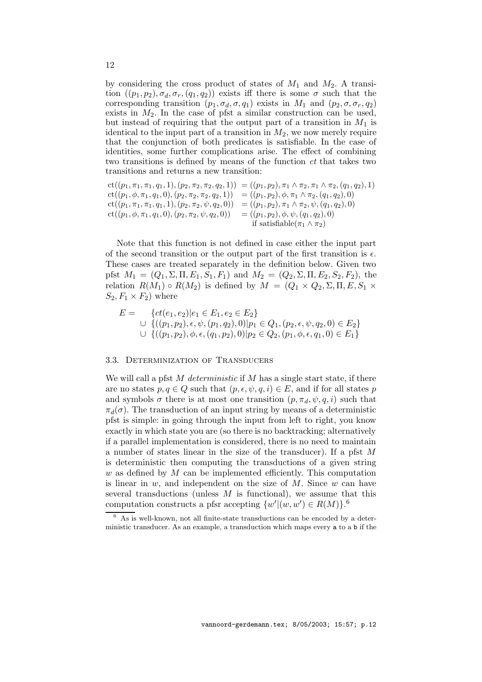by considering the cross product of states of  $M_1$  and  $M_2$ . A transition  $((p_1, p_2), \sigma_d, \sigma_r, (q_1, q_2))$  exists iff there is some  $\sigma$  such that the corresponding transition  $(p_1, \sigma_d, \sigma, q_1)$  exists in  $M_1$  and  $(p_2, \sigma, \sigma_r, q_2)$ exists in  $M_2$ . In the case of pfst a similar construction can be used, but instead of requiring that the output part of a transition in  $M_1$  is identical to the input part of a transition in  $M_2$ , we now merely require that the conjunction of both predicates is satisfiable. In the case of identities, some further complications arise. The effect of combining two transitions is defined by means of the function ct that takes two transitions and returns a new transition:

$$
ct((p_1, \pi_1, \pi_1, q_1, 1), (p_2, \pi_2, \pi_2, q_2, 1)) = ((p_1, p_2), \pi_1 \wedge \pi_2, \pi_1 \wedge \pi_2, (q_1, q_2), 1)
$$
  
\n
$$
ct((p_1, \phi, \pi_1, q_1, 0), (p_2, \pi_2, \pi_2, q_2, 1)) = ((p_1, p_2), \phi, \pi_1 \wedge \pi_2, (q_1, q_2), 0)
$$
  
\n
$$
ct((p_1, \pi_1, \pi_1, q_1, 1), (p_2, \pi_2, \psi, q_2, 0)) = ((p_1, p_2), \pi_1 \wedge \pi_2, \psi, (q_1, q_2), 0)
$$
  
\n
$$
ct((p_1, \phi, \pi_1, q_1, 0), (p_2, \pi_2, \psi, q_2, 0)) = ((p_1, p_2), \phi, \psi, (q_1, q_2), 0)
$$
  
\nif satisfiable $(\pi_1 \wedge \pi_2)$ 

Note that this function is not defined in case either the input part of the second transition or the output part of the first transition is  $\epsilon$ . These cases are treated separately in the definition below. Given two pfst  $M_1 = (Q_1, \Sigma, \Pi, E_1, S_1, F_1)$  and  $M_2 = (Q_2, \Sigma, \Pi, E_2, S_2, F_2)$ , the relation  $R(M_1) \circ R(M_2)$  is defined by  $M = (Q_1 \times Q_2, \Sigma, \Pi, E, S_1 \times$  $S_2, F_1 \times F_2$  where

$$
E = \{ct(e_1, e_2) | e_1 \in E_1, e_2 \in E_2\}
$$
  
\n
$$
\cup \{((p_1, p_2), \epsilon, \psi, (p_1, q_2), 0) | p_1 \in Q_1, (p_2, \epsilon, \psi, q_2, 0) \in E_2\}
$$
  
\n
$$
\cup \{((p_1, p_2), \phi, \epsilon, (q_1, p_2), 0) | p_2 \in Q_2, (p_1, \phi, \epsilon, q_1, 0) \in E_1\}
$$

#### 3.3. Determinization of Transducers

We will call a pfst  $M$  deterministic if  $M$  has a single start state, if there are no states  $p, q \in Q$  such that  $(p, \epsilon, \psi, q, i) \in E$ , and if for all states p and symbols  $\sigma$  there is at most one transition  $(p, \pi_d, \psi, q, i)$  such that  $\pi_d(\sigma)$ . The transduction of an input string by means of a deterministic pfst is simple: in going through the input from left to right, you know exactly in which state you are (so there is no backtracking; alternatively if a parallel implementation is considered, there is no need to maintain a number of states linear in the size of the transducer). If a pfst M is deterministic then computing the transductions of a given string  $w$  as defined by  $M$  can be implemented efficiently. This computation is linear in  $w$ , and independent on the size of  $M$ . Since  $w$  can have several transductions (unless  $M$  is functional), we assume that this computation constructs a pfsr accepting  $\{w' | (w', w') \in R(M)\}.$ <sup>6</sup>

12

<sup>6</sup> As is well-known, not all finite-state transductions can be encoded by a deterministic transducer. As an example, a transduction which maps every a to a b if the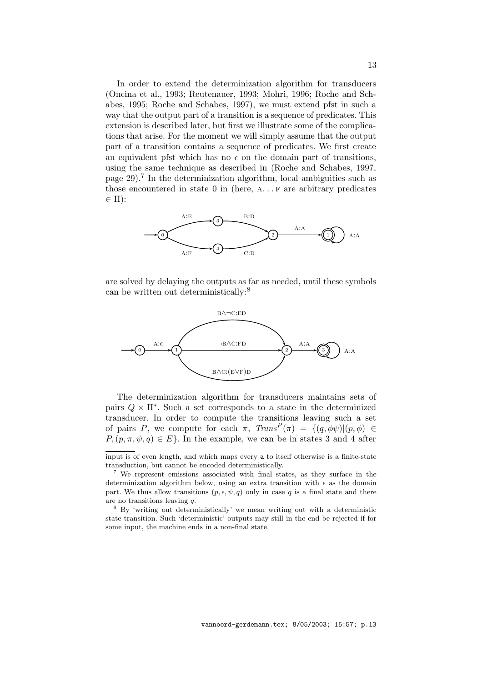In order to extend the determinization algorithm for transducers (Oncina et al., 1993; Reutenauer, 1993; Mohri, 1996; Roche and Schabes, 1995; Roche and Schabes, 1997), we must extend pfst in such a way that the output part of a transition is a sequence of predicates. This extension is described later, but first we illustrate some of the complications that arise. For the moment we will simply assume that the output part of a transition contains a sequence of predicates. We first create an equivalent pfst which has no  $\epsilon$  on the domain part of transitions, using the same technique as described in (Roche and Schabes, 1997, page 29).<sup>7</sup> In the determinization algorithm, local ambiguities such as those encountered in state  $0$  in (here,  $A \ldots F$  are arbitrary predicates  $\in \Pi$ :



are solved by delaying the outputs as far as needed, until these symbols can be written out deterministically:<sup>8</sup>



The determinization algorithm for transducers maintains sets of pairs  $Q \times \Pi^*$ . Such a set corresponds to a state in the determinized transducer. In order to compute the transitions leaving such a set of pairs P, we compute for each  $\pi$ ,  $Trans^P(\pi) = \{ (q, \phi\psi) | (p, \phi) \in$  $P, (p, \pi, \psi, q) \in E$ . In the example, we can be in states 3 and 4 after

input is of even length, and which maps every a to itself otherwise is a finite-state transduction, but cannot be encoded deterministically.

<sup>7</sup> We represent emissions associated with final states, as they surface in the determinization algorithm below, using an extra transition with  $\epsilon$  as the domain part. We thus allow transitions  $(p, \epsilon, \psi, q)$  only in case q is a final state and there are no transitions leaving q.

<sup>8</sup> By 'writing out deterministically' we mean writing out with a deterministic state transition. Such 'deterministic' outputs may still in the end be rejected if for some input, the machine ends in a non-final state.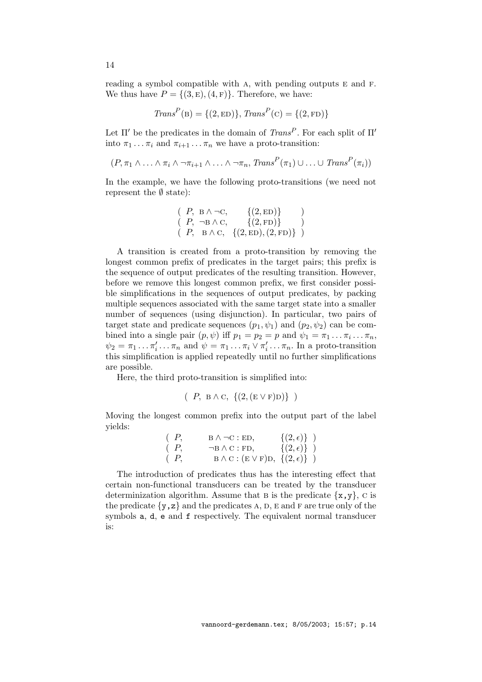reading a symbol compatible with A, with pending outputs E and F. We thus have  $P = \{(3, \mathbf{E}), (4, \mathbf{F})\}$ . Therefore, we have:

$$
Trans^{P}(B) = \{(2, ED)\}, Trans^{P}(C) = \{(2, FD)\}\
$$

Let  $\Pi'$  be the predicates in the domain of  $Trans^P$ . For each split of  $\Pi'$ into  $\pi_1 \dots \pi_i$  and  $\pi_{i+1} \dots \pi_n$  we have a proto-transition:

$$
(P, \pi_1 \wedge \ldots \wedge \pi_i \wedge \neg \pi_{i+1} \wedge \ldots \wedge \neg \pi_n, \text{Trans}^P(\pi_1) \cup \ldots \cup \text{Trans}^P(\pi_i))
$$

In the example, we have the following proto-transitions (we need not represent the  $\emptyset$  state):

$$
(P, B \land \neg C, \{(2, ED)\})
$$
  
\n $(P, \neg B \land C, \{(2, FD)\})$   
\n $(P, B \land C, \{(2, ED), (2, FD)\})$ 

A transition is created from a proto-transition by removing the longest common prefix of predicates in the target pairs; this prefix is the sequence of output predicates of the resulting transition. However, before we remove this longest common prefix, we first consider possible simplifications in the sequences of output predicates, by packing multiple sequences associated with the same target state into a smaller number of sequences (using disjunction). In particular, two pairs of target state and predicate sequences  $(p_1, \psi_1)$  and  $(p_2, \psi_2)$  can be combined into a single pair  $(p, \psi)$  iff  $p_1 = p_2 = p$  and  $\psi_1 = \pi_1 \dots \pi_i \dots \pi_n$ ,  $\psi_2 = \pi_1 \dots \pi'_i$  $\sum_{i}^{\prime} \ldots \pi_n$  and  $\psi = \pi_1 \ldots \pi_i \vee \pi'_i$  $i_{i}^{\prime} \ldots \pi_{n}$ . In a proto-transition this simplification is applied repeatedly until no further simplifications are possible.

Here, the third proto-transition is simplified into:

$$
(\begin{array}{c} P, \ B \wedge C, \ \{(2, (E \vee F)D)\}\end{array})
$$

Moving the longest common prefix into the output part of the label yields:

$$
\begin{array}{ll}\n(P, & \text{B }\wedge \neg \text{C : ED,} & \{(2,\epsilon)\}\n\end{array}
$$
\n
$$
\begin{array}{ll}\n(P, & \neg \text{B }\wedge \text{C : FD,} & \{(2,\epsilon)\}\n\end{array}
$$
\n
$$
\begin{array}{ll}\n(P, & \text{B }\wedge \text{C : (E \lor F)D, \{(2,\epsilon)\}\n\end{array}
$$

The introduction of predicates thus has the interesting effect that certain non-functional transducers can be treated by the transducer determinization algorithm. Assume that B is the predicate  $\{x, y\}$ , C is the predicate  $\{y, z\}$  and the predicates A, D, E and F are true only of the symbols a, d, e and f respectively. The equivalent normal transducer is:

14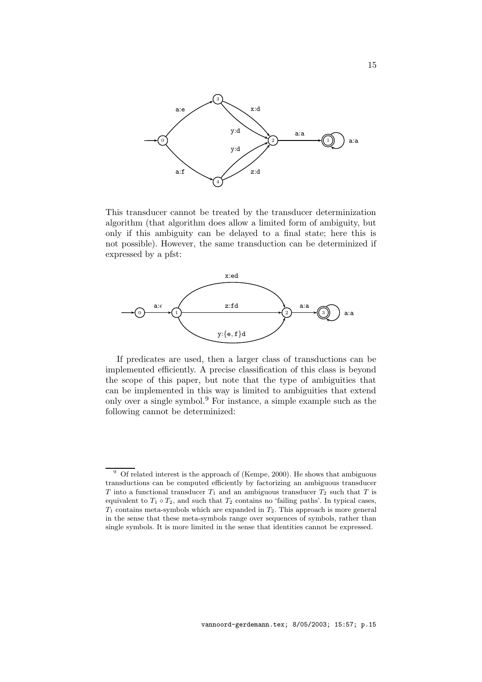

This transducer cannot be treated by the transducer determinization algorithm (that algorithm does allow a limited form of ambiguity, but only if this ambiguity can be delayed to a final state; here this is not possible). However, the same transduction can be determinized if expressed by a pfst:



If predicates are used, then a larger class of transductions can be implemented efficiently. A precise classification of this class is beyond the scope of this paper, but note that the type of ambiguities that can be implemented in this way is limited to ambiguities that extend only over a single symbol.<sup>9</sup> For instance, a simple example such as the following cannot be determinized:

 $9\textdegree$  Of related interest is the approach of (Kempe, 2000). He shows that ambiguous transductions can be computed efficiently by factorizing an ambiguous transducer T into a functional transducer  $T_1$  and an ambiguous transducer  $T_2$  such that T is equivalent to  $T_1 \circ T_2$ , and such that  $T_2$  contains no 'failing paths'. In typical cases,  $T_1$  contains meta-symbols which are expanded in  $T_2$ . This approach is more general in the sense that these meta-symbols range over sequences of symbols, rather than single symbols. It is more limited in the sense that identities cannot be expressed.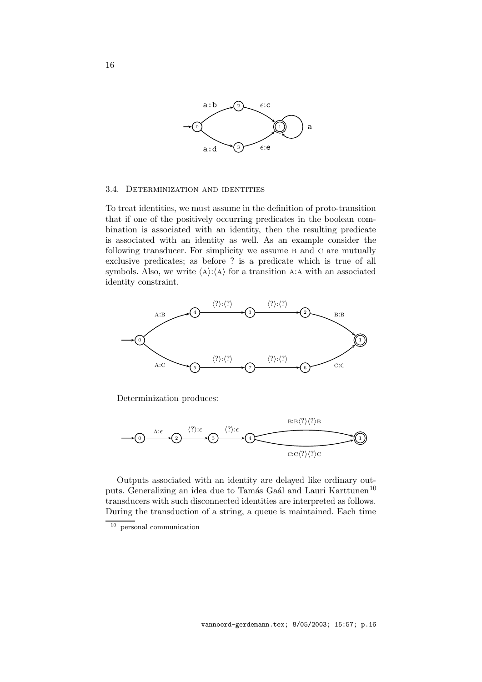

#### 3.4. Determinization and identities

To treat identities, we must assume in the definition of proto-transition that if one of the positively occurring predicates in the boolean combination is associated with an identity, then the resulting predicate is associated with an identity as well. As an example consider the following transducer. For simplicity we assume B and C are mutually exclusive predicates; as before ? is a predicate which is true of all symbols. Also, we write  $\langle A \rangle: \langle A \rangle$  for a transition A:A with an associated identity constraint.



Determinization produces:



Outputs associated with an identity are delayed like ordinary outputs. Generalizing an idea due to Tamás Gaál and Lauri Karttunen<sup>10</sup> transducers with such disconnected identities are interpreted as follows. During the transduction of a string, a queue is maintained. Each time

<sup>10</sup> personal communication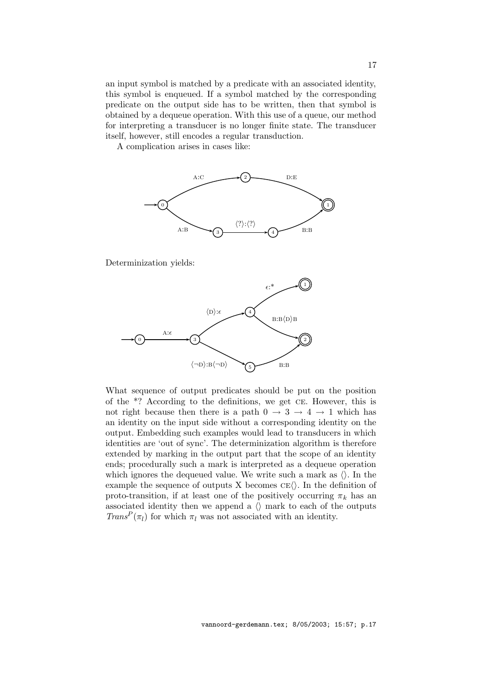an input symbol is matched by a predicate with an associated identity, this symbol is enqueued. If a symbol matched by the corresponding predicate on the output side has to be written, then that symbol is obtained by a dequeue operation. With this use of a queue, our method for interpreting a transducer is no longer finite state. The transducer itself, however, still encodes a regular transduction.

A complication arises in cases like:



Determinization yields:



What sequence of output predicates should be put on the position of the \*? According to the definitions, we get ce. However, this is not right because then there is a path  $0 \rightarrow 3 \rightarrow 4 \rightarrow 1$  which has an identity on the input side without a corresponding identity on the output. Embedding such examples would lead to transducers in which identities are 'out of sync'. The determinization algorithm is therefore extended by marking in the output part that the scope of an identity ends; procedurally such a mark is interpreted as a dequeue operation which ignores the dequeued value. We write such a mark as  $\langle \rangle$ . In the example the sequence of outputs X becomes  $CE\langle\rangle$ . In the definition of proto-transition, if at least one of the positively occurring  $\pi_k$  has an associated identity then we append a  $\langle \rangle$  mark to each of the outputs  $Trans<sup>P</sup>(\pi_l)$  for which  $\pi_l$  was not associated with an identity.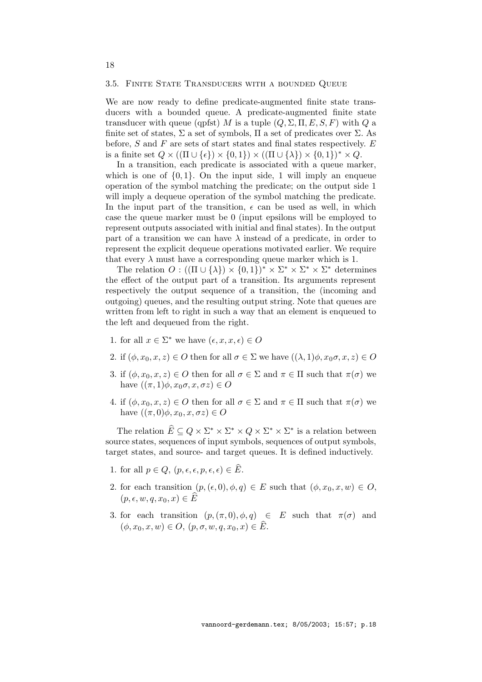### 3.5. Finite State Transducers with a bounded Queue

We are now ready to define predicate-augmented finite state transducers with a bounded queue. A predicate-augmented finite state transducer with queue (qpfst) M is a tuple  $(Q, \Sigma, \Pi, E, S, F)$  with Q a finite set of states,  $\Sigma$  a set of symbols,  $\Pi$  a set of predicates over  $\Sigma$ . As before,  $S$  and  $F$  are sets of start states and final states respectively.  $E$ is a finite set  $Q \times ((\Pi \cup \{\epsilon\}) \times \{0,1\}) \times ((\Pi \cup \{\lambda\}) \times \{0,1\})^* \times Q$ .

In a transition, each predicate is associated with a queue marker, which is one of  $\{0, 1\}$ . On the input side, 1 will imply an enqueue operation of the symbol matching the predicate; on the output side 1 will imply a dequeue operation of the symbol matching the predicate. In the input part of the transition,  $\epsilon$  can be used as well, in which case the queue marker must be 0 (input epsilons will be employed to represent outputs associated with initial and final states). In the output part of a transition we can have  $\lambda$  instead of a predicate, in order to represent the explicit dequeue operations motivated earlier. We require that every  $\lambda$  must have a corresponding queue marker which is 1.

The relation  $O: ((\Pi \cup {\lambda}) \times \{0,1\})^* \times \Sigma^* \times \Sigma^* \times \Sigma^*$  determines the effect of the output part of a transition. Its arguments represent respectively the output sequence of a transition, the (incoming and outgoing) queues, and the resulting output string. Note that queues are written from left to right in such a way that an element is enqueued to the left and dequeued from the right.

- 1. for all  $x \in \Sigma^*$  we have  $(\epsilon, x, x, \epsilon) \in O$
- 2. if  $(\phi, x_0, x, z) \in O$  then for all  $\sigma \in \Sigma$  we have  $((\lambda, 1)\phi, x_0\sigma, x, z) \in O$
- 3. if  $(\phi, x_0, x, z) \in O$  then for all  $\sigma \in \Sigma$  and  $\pi \in \Pi$  such that  $\pi(\sigma)$  we have  $((\pi, 1)\phi, x_0\sigma, x, \sigma z) \in O$
- 4. if  $(\phi, x_0, x, z) \in O$  then for all  $\sigma \in \Sigma$  and  $\pi \in \Pi$  such that  $\pi(\sigma)$  we have  $((\pi, 0)\phi, x_0, x, \sigma z) \in O$

The relation  $\widehat{E} \subseteq Q \times \Sigma^* \times \Sigma^* \times Q \times \Sigma^* \times \Sigma^*$  is a relation between source states, sequences of input symbols, sequences of output symbols, target states, and source- and target queues. It is defined inductively.

- 1. for all  $p \in Q$ ,  $(p, \epsilon, \epsilon, p, \epsilon, \epsilon) \in \widehat{E}$ .
- 2. for each transition  $(p, (\epsilon, 0), \phi, q) \in E$  such that  $(\phi, x_0, x, w) \in O$ ,  $(p, \epsilon, w, q, x_0, x) \in \widehat{E}$
- 3. for each transition  $(p,(\pi,0),\phi,q) \in E$  such that  $\pi(\sigma)$  and  $(\phi, x_0, x, w) \in O, (p, \sigma, w, q, x_0, x) \in \widehat{E}.$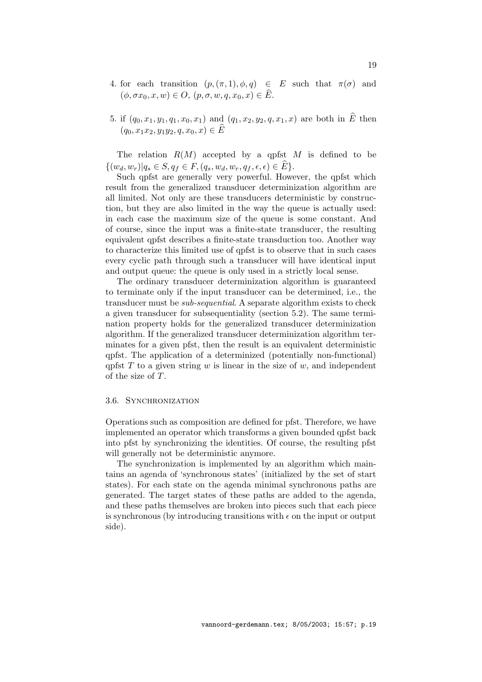- 4. for each transition  $(p, (\pi, 1), \phi, q) \in E$  such that  $\pi(\sigma)$  and  $(\phi, \sigma x_0, x, w) \in O, (p, \sigma, w, q, x_0, x) \in \widehat{E}.$
- 5. if  $(q_0, x_1, y_1, q_1, x_0, x_1)$  and  $(q_1, x_2, y_2, q, x_1, x)$  are both in  $\hat{E}$  then  $(q_0, x_1x_2, y_1y_2, q, x_0, x) \in \overline{E}$

The relation  $R(M)$  accepted by a qpfst M is defined to be  $\{(w_d, w_r)|q_s \in S, q_f \in F, (q_s, w_d, w_r, q_f, \epsilon, \epsilon) \in E\}.$ 

Such qpfst are generally very powerful. However, the qpfst which result from the generalized transducer determinization algorithm are all limited. Not only are these transducers deterministic by construction, but they are also limited in the way the queue is actually used: in each case the maximum size of the queue is some constant. And of course, since the input was a finite-state transducer, the resulting equivalent qpfst describes a finite-state transduction too. Another way to characterize this limited use of qpfst is to observe that in such cases every cyclic path through such a transducer will have identical input and output queue: the queue is only used in a strictly local sense.

The ordinary transducer determinization algorithm is guaranteed to terminate only if the input transducer can be determined, i.e., the transducer must be *sub-sequential*. A separate algorithm exists to check a given transducer for subsequentiality (section 5.2). The same termination property holds for the generalized transducer determinization algorithm. If the generalized transducer determinization algorithm terminates for a given pfst, then the result is an equivalent deterministic qpfst. The application of a determinized (potentially non-functional) qpfst T to a given string w is linear in the size of w, and independent of the size of T.

#### 3.6. SYNCHRONIZATION

Operations such as composition are defined for pfst. Therefore, we have implemented an operator which transforms a given bounded qpfst back into pfst by synchronizing the identities. Of course, the resulting pfst will generally not be deterministic anymore.

The synchronization is implemented by an algorithm which maintains an agenda of 'synchronous states' (initialized by the set of start states). For each state on the agenda minimal synchronous paths are generated. The target states of these paths are added to the agenda, and these paths themselves are broken into pieces such that each piece is synchronous (by introducing transitions with  $\epsilon$  on the input or output side).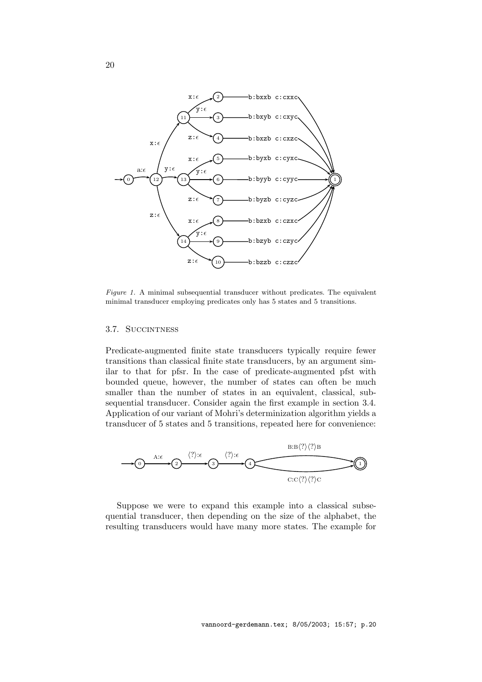

Figure 1. A minimal subsequential transducer without predicates. The equivalent minimal transducer employing predicates only has 5 states and 5 transitions.

#### 3.7. Succintness

Predicate-augmented finite state transducers typically require fewer transitions than classical finite state transducers, by an argument similar to that for pfsr. In the case of predicate-augmented pfst with bounded queue, however, the number of states can often be much smaller than the number of states in an equivalent, classical, subsequential transducer. Consider again the first example in section 3.4. Application of our variant of Mohri's determinization algorithm yields a transducer of 5 states and 5 transitions, repeated here for convenience:



Suppose we were to expand this example into a classical subsequential transducer, then depending on the size of the alphabet, the resulting transducers would have many more states. The example for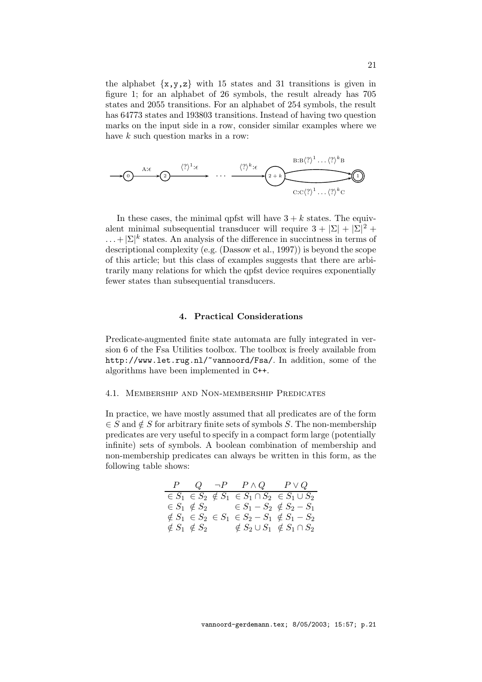the alphabet  $\{x,y,z\}$  with 15 states and 31 transitions is given in figure 1; for an alphabet of 26 symbols, the result already has 705 states and 2055 transitions. For an alphabet of 254 symbols, the result has 64773 states and 193803 transitions. Instead of having two question marks on the input side in a row, consider similar examples where we have  $k$  such question marks in a row:



In these cases, the minimal qpfst will have  $3 + k$  states. The equivalent minimal subsequential transducer will require  $3 + |\Sigma| + |\Sigma|^2 +$  $\dots + |\Sigma|^k$  states. An analysis of the difference in succintness in terms of descriptional complexity (e.g. (Dassow et al., 1997)) is beyond the scope of this article; but this class of examples suggests that there are arbitrarily many relations for which the qpfst device requires exponentially fewer states than subsequential transducers.

## 4. Practical Considerations

Predicate-augmented finite state automata are fully integrated in version 6 of the Fsa Utilities toolbox. The toolbox is freely available from http://www.let.rug.nl/~vannoord/Fsa/. In addition, some of the algorithms have been implemented in C++.

### 4.1. Membership and Non-membership Predicates

In practice, we have mostly assumed that all predicates are of the form  $\in S$  and  $\notin S$  for arbitrary finite sets of symbols S. The non-membership predicates are very useful to specify in a compact form large (potentially infinite) sets of symbols. A boolean combination of membership and non-membership predicates can always be written in this form, as the following table shows:

|  | $P \quad Q \quad \neg P \quad P \land Q \quad P \lor Q$                            |  |
|--|------------------------------------------------------------------------------------|--|
|  | $\epsilon S_1 \epsilon S_2 \notin S_1 \epsilon S_1 \cap S_2 \epsilon S_1 \cup S_2$ |  |
|  | $\in S_1 \notin S_2$ $\in S_1 - S_2 \notin S_2 - S_1$                              |  |
|  | $\notin S_1$ $\in S_2$ $\in S_1$ $\in S_2 - S_1$ $\notin S_1 - S_2$                |  |
|  | $\notin S_1$ $\notin S_2$ $\notin S_2 \cup S_1$ $\notin S_1 \cap S_2$              |  |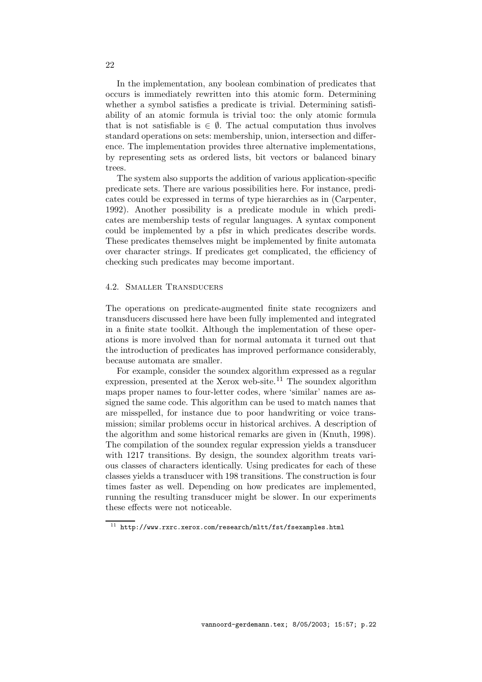In the implementation, any boolean combination of predicates that occurs is immediately rewritten into this atomic form. Determining whether a symbol satisfies a predicate is trivial. Determining satisfiability of an atomic formula is trivial too: the only atomic formula that is not satisfiable is  $\in \emptyset$ . The actual computation thus involves standard operations on sets: membership, union, intersection and difference. The implementation provides three alternative implementations, by representing sets as ordered lists, bit vectors or balanced binary trees.

The system also supports the addition of various application-specific predicate sets. There are various possibilities here. For instance, predicates could be expressed in terms of type hierarchies as in (Carpenter, 1992). Another possibility is a predicate module in which predicates are membership tests of regular languages. A syntax component could be implemented by a pfsr in which predicates describe words. These predicates themselves might be implemented by finite automata over character strings. If predicates get complicated, the efficiency of checking such predicates may become important.

### 4.2. Smaller Transducers

The operations on predicate-augmented finite state recognizers and transducers discussed here have been fully implemented and integrated in a finite state toolkit. Although the implementation of these operations is more involved than for normal automata it turned out that the introduction of predicates has improved performance considerably, because automata are smaller.

For example, consider the soundex algorithm expressed as a regular expression, presented at the Xerox web-site.<sup>11</sup> The soundex algorithm maps proper names to four-letter codes, where 'similar' names are assigned the same code. This algorithm can be used to match names that are misspelled, for instance due to poor handwriting or voice transmission; similar problems occur in historical archives. A description of the algorithm and some historical remarks are given in (Knuth, 1998). The compilation of the soundex regular expression yields a transducer with 1217 transitions. By design, the soundex algorithm treats various classes of characters identically. Using predicates for each of these classes yields a transducer with 198 transitions. The construction is four times faster as well. Depending on how predicates are implemented, running the resulting transducer might be slower. In our experiments these effects were not noticeable.

 $^{11}\,$  http://www.rxrc.xerox.com/research/mltt/fst/fsexamples.html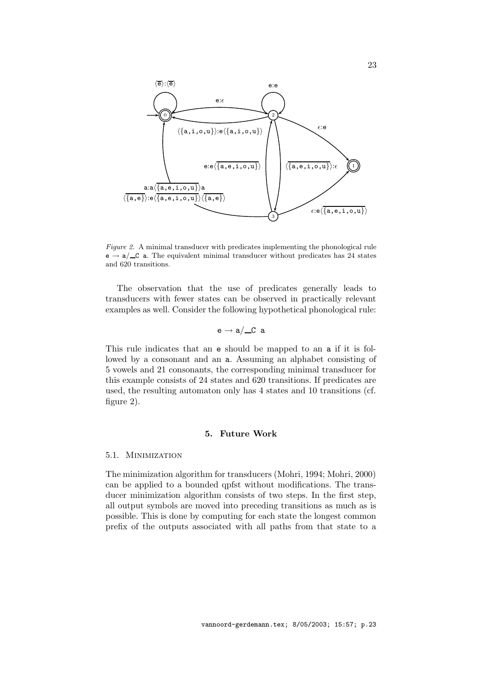

Figure 2. A minimal transducer with predicates implementing the phonological rule  $e \rightarrow a/\text{C}$  a. The equivalent minimal transducer without predicates has 24 states and 620 transitions.

The observation that the use of predicates generally leads to transducers with fewer states can be observed in practically relevant examples as well. Consider the following hypothetical phonological rule:

$$
\mathtt{e}\to\mathtt{a}/\underline{\hspace{0.2cm}}\mathtt{C} \mathtt{\hspace{0.2cm} a}
$$

This rule indicates that an e should be mapped to an a if it is followed by a consonant and an a. Assuming an alphabet consisting of 5 vowels and 21 consonants, the corresponding minimal transducer for this example consists of 24 states and 620 transitions. If predicates are used, the resulting automaton only has 4 states and 10 transitions (cf. figure 2).

### 5. Future Work

#### 5.1. Minimization

The minimization algorithm for transducers (Mohri, 1994; Mohri, 2000) can be applied to a bounded qpfst without modifications. The transducer minimization algorithm consists of two steps. In the first step, all output symbols are moved into preceding transitions as much as is possible. This is done by computing for each state the longest common prefix of the outputs associated with all paths from that state to a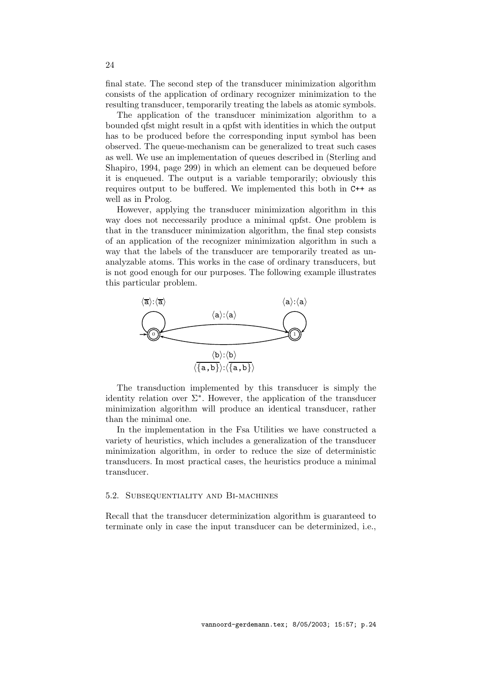final state. The second step of the transducer minimization algorithm consists of the application of ordinary recognizer minimization to the resulting transducer, temporarily treating the labels as atomic symbols.

The application of the transducer minimization algorithm to a bounded qfst might result in a qpfst with identities in which the output has to be produced before the corresponding input symbol has been observed. The queue-mechanism can be generalized to treat such cases as well. We use an implementation of queues described in (Sterling and Shapiro, 1994, page 299) in which an element can be dequeued before it is enqueued. The output is a variable temporarily; obviously this requires output to be buffered. We implemented this both in C++ as well as in Prolog.

However, applying the transducer minimization algorithm in this way does not neccessarily produce a minimal qpfst. One problem is that in the transducer minimization algorithm, the final step consists of an application of the recognizer minimization algorithm in such a way that the labels of the transducer are temporarily treated as unanalyzable atoms. This works in the case of ordinary transducers, but is not good enough for our purposes. The following example illustrates this particular problem.



The transduction implemented by this transducer is simply the identity relation over  $\Sigma^*$ . However, the application of the transducer minimization algorithm will produce an identical transducer, rather than the minimal one.

In the implementation in the Fsa Utilities we have constructed a variety of heuristics, which includes a generalization of the transducer minimization algorithm, in order to reduce the size of deterministic transducers. In most practical cases, the heuristics produce a minimal transducer.

## 5.2. Subsequentiality and Bi-machines

Recall that the transducer determinization algorithm is guaranteed to terminate only in case the input transducer can be determinized, i.e.,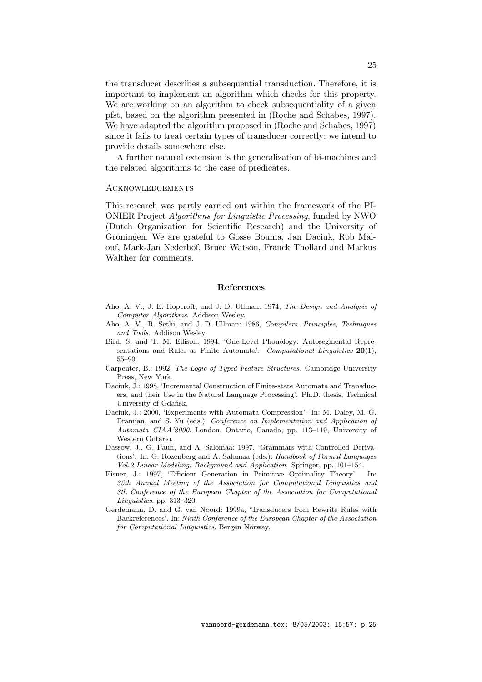the transducer describes a subsequential transduction. Therefore, it is important to implement an algorithm which checks for this property. We are working on an algorithm to check subsequentiality of a given pfst, based on the algorithm presented in (Roche and Schabes, 1997). We have adapted the algorithm proposed in (Roche and Schabes, 1997) since it fails to treat certain types of transducer correctly; we intend to provide details somewhere else.

A further natural extension is the generalization of bi-machines and the related algorithms to the case of predicates.

#### Acknowledgements

This research was partly carried out within the framework of the PI-ONIER Project Algorithms for Linguistic Processing, funded by NWO (Dutch Organization for Scientific Research) and the University of Groningen. We are grateful to Gosse Bouma, Jan Daciuk, Rob Malouf, Mark-Jan Nederhof, Bruce Watson, Franck Thollard and Markus Walther for comments.

## References

- Aho, A. V., J. E. Hopcroft, and J. D. Ullman: 1974, The Design and Analysis of Computer Algorithms. Addison-Wesley.
- Aho, A. V., R. Sethi, and J. D. Ullman: 1986, Compilers. Principles, Techniques and Tools. Addison Wesley.
- Bird, S. and T. M. Ellison: 1994, 'One-Level Phonology: Autosegmental Representations and Rules as Finite Automata'. Computational Linguistics  $20(1)$ , 55–90.
- Carpenter, B.: 1992, The Logic of Typed Feature Structures. Cambridge University Press, New York.
- Daciuk, J.: 1998, 'Incremental Construction of Finite-state Automata and Transducers, and their Use in the Natural Language Processing'. Ph.D. thesis, Technical University of Gdańsk.
- Daciuk, J.: 2000, 'Experiments with Automata Compression'. In: M. Daley, M. G. Eramian, and S. Yu (eds.): Conference on Implementation and Application of Automata CIAA'2000. London, Ontario, Canada, pp. 113–119, University of Western Ontario.
- Dassow, J., G. Paun, and A. Salomaa: 1997, 'Grammars with Controlled Derivations'. In: G. Rozenberg and A. Salomaa (eds.): Handbook of Formal Languages Vol.2 Linear Modeling: Background and Application. Springer, pp. 101–154.
- Eisner, J.: 1997, 'Efficient Generation in Primitive Optimality Theory'. In: 35th Annual Meeting of the Association for Computational Linguistics and 8th Conference of the European Chapter of the Association for Computational Linguistics. pp. 313–320.
- Gerdemann, D. and G. van Noord: 1999a, 'Transducers from Rewrite Rules with Backreferences'. In: Ninth Conference of the European Chapter of the Association for Computational Linguistics. Bergen Norway.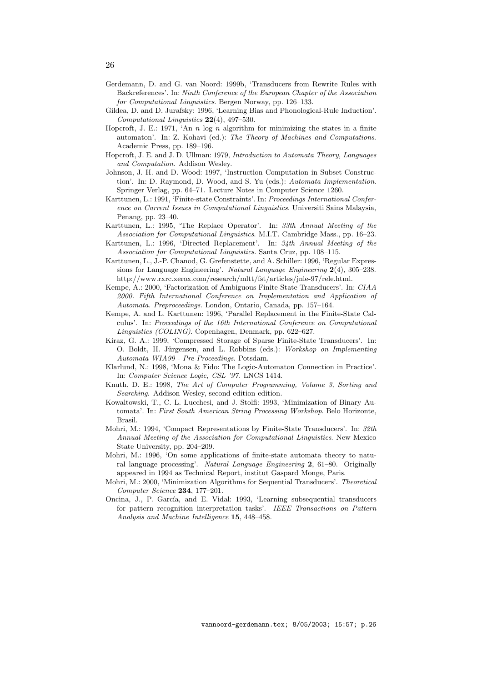- Gerdemann, D. and G. van Noord: 1999b, 'Transducers from Rewrite Rules with Backreferences'. In: Ninth Conference of the European Chapter of the Association for Computational Linguistics. Bergen Norway, pp. 126–133.
- Gildea, D. and D. Jurafsky: 1996, 'Learning Bias and Phonological-Rule Induction'. Computational Linguistics 22(4), 497–530.
- Hopcroft, J. E.: 1971, 'An  $n \log n$  algorithm for minimizing the states in a finite automaton'. In: Z. Kohavi (ed.): The Theory of Machines and Computations. Academic Press, pp. 189–196.
- Hopcroft, J. E. and J. D. Ullman: 1979, Introduction to Automata Theory, Languages and Computation. Addison Wesley.
- Johnson, J. H. and D. Wood: 1997, 'Instruction Computation in Subset Construction'. In: D. Raymond, D. Wood, and S. Yu (eds.): Automata Implementation. Springer Verlag, pp. 64–71. Lecture Notes in Computer Science 1260.
- Karttunen, L.: 1991, 'Finite-state Constraints'. In: Proceedings International Conference on Current Issues in Computational Linguistics. Universiti Sains Malaysia, Penang, pp. 23–40.
- Karttunen, L.: 1995, 'The Replace Operator'. In: 33th Annual Meeting of the Association for Computational Linguistics. M.I.T. Cambridge Mass., pp. 16–23.
- Karttunen, L.: 1996, 'Directed Replacement'. In: 34th Annual Meeting of the Association for Computational Linguistics. Santa Cruz, pp. 108–115.
- Karttunen, L., J.-P. Chanod, G. Grefenstette, and A. Schiller: 1996, 'Regular Expressions for Language Engineering'. Natural Language Engineering 2(4), 305–238. http://www.rxrc.xerox.com/research/mltt/fst/articles/jnle-97/rele.html.
- Kempe, A.: 2000, 'Factorization of Ambiguous Finite-State Transducers'. In: CIAA 2000. Fifth International Conference on Implementation and Application of Automata. Preproceedings. London, Ontario, Canada, pp. 157–164.
- Kempe, A. and L. Karttunen: 1996, 'Parallel Replacement in the Finite-State Calculus'. In: Proceedings of the 16th International Conference on Computational Linguistics (COLING). Copenhagen, Denmark, pp. 622–627.
- Kiraz, G. A.: 1999, 'Compressed Storage of Sparse Finite-State Transducers'. In: O. Boldt, H. Jürgensen, and L. Robbins (eds.): Workshop on Implementing Automata WIA99 - Pre-Proceedings. Potsdam.
- Klarlund, N.: 1998, 'Mona & Fido: The Logic-Automaton Connection in Practice'. In: Computer Science Logic, CSL '97. LNCS 1414.
- Knuth, D. E.: 1998, The Art of Computer Programming, Volume 3, Sorting and Searching. Addison Wesley, second edition edition.
- Kowaltowski, T., C. L. Lucchesi, and J. Stolfi: 1993, 'Minimization of Binary Automata'. In: First South American String Processing Workshop. Belo Horizonte, Brasil.
- Mohri, M.: 1994, 'Compact Representations by Finite-State Transducers'. In: 32th Annual Meeting of the Association for Computational Linguistics. New Mexico State University, pp. 204–209.
- Mohri, M.: 1996, 'On some applications of finite-state automata theory to natural language processing'. Natural Language Engineering 2, 61–80. Originally appeared in 1994 as Technical Report, institut Gaspard Monge, Paris.
- Mohri, M.: 2000, 'Minimization Algorithms for Sequential Transducers'. Theoretical Computer Science 234, 177–201.
- Oncina, J., P. García, and E. Vidal: 1993, 'Learning subsequential transducers for pattern recognition interpretation tasks'. IEEE Transactions on Pattern Analysis and Machine Intelligence 15, 448–458.